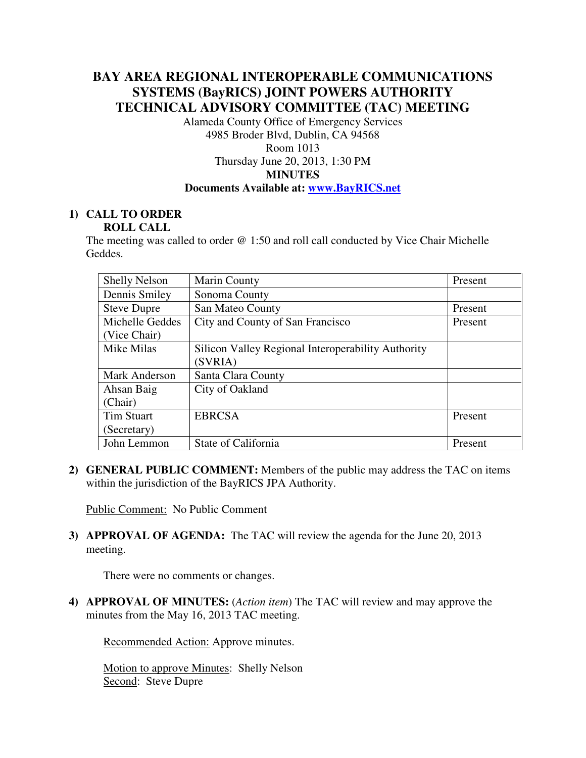# **BAY AREA REGIONAL INTEROPERABLE COMMUNICATIONS SYSTEMS (BayRICS) JOINT POWERS AUTHORITY TECHNICAL ADVISORY COMMITTEE (TAC) MEETING**

Alameda County Office of Emergency Services 4985 Broder Blvd, Dublin, CA 94568 Room 1013 Thursday June 20, 2013, 1:30 PM **MINUTES** 

## **Documents Available at: www.BayRICS.net**

## **1) CALL TO ORDER ROLL CALL**

The meeting was called to order @ 1:50 and roll call conducted by Vice Chair Michelle Geddes.

| <b>Shelly Nelson</b> | <b>Marin County</b>                                | Present |
|----------------------|----------------------------------------------------|---------|
| Dennis Smiley        | Sonoma County                                      |         |
| <b>Steve Dupre</b>   | San Mateo County                                   | Present |
| Michelle Geddes      | City and County of San Francisco                   | Present |
| (Vice Chair)         |                                                    |         |
| Mike Milas           | Silicon Valley Regional Interoperability Authority |         |
|                      | (SVRIA)                                            |         |
| <b>Mark Anderson</b> | Santa Clara County                                 |         |
| Ahsan Baig           | City of Oakland                                    |         |
| (Chair)              |                                                    |         |
| <b>Tim Stuart</b>    | <b>EBRCSA</b>                                      | Present |
| (Secretary)          |                                                    |         |
| John Lemmon          | State of California                                | Present |

**2) GENERAL PUBLIC COMMENT:** Members of the public may address the TAC on items within the jurisdiction of the BayRICS JPA Authority.

Public Comment: No Public Comment

**3) APPROVAL OF AGENDA:** The TAC will review the agenda for the June 20, 2013 meeting.

There were no comments or changes.

**4) APPROVAL OF MINUTES:** (*Action item*) The TAC will review and may approve the minutes from the May 16, 2013 TAC meeting.

Recommended Action: Approve minutes.

Motion to approve Minutes: Shelly Nelson Second: Steve Dupre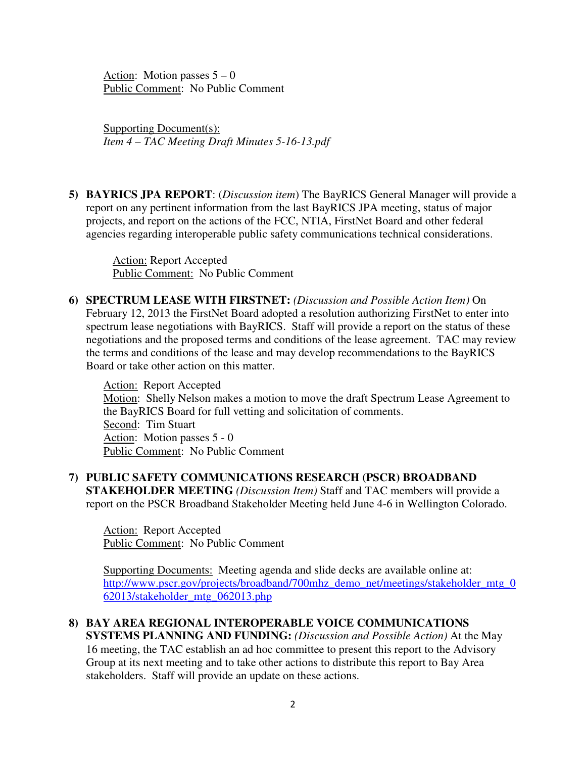Action: Motion passes  $5 - 0$ Public Comment: No Public Comment

Supporting Document(s): *Item 4 – TAC Meeting Draft Minutes 5-16-13.pdf* 

**5) BAYRICS JPA REPORT**: (*Discussion item*) The BayRICS General Manager will provide a report on any pertinent information from the last BayRICS JPA meeting, status of major projects, and report on the actions of the FCC, NTIA, FirstNet Board and other federal agencies regarding interoperable public safety communications technical considerations.

 Action: Report Accepted Public Comment: No Public Comment

**6) SPECTRUM LEASE WITH FIRSTNET:** *(Discussion and Possible Action Item)* On February 12, 2013 the FirstNet Board adopted a resolution authorizing FirstNet to enter into spectrum lease negotiations with BayRICS. Staff will provide a report on the status of these negotiations and the proposed terms and conditions of the lease agreement. TAC may review the terms and conditions of the lease and may develop recommendations to the BayRICS Board or take other action on this matter.

Action: Report Accepted Motion: Shelly Nelson makes a motion to move the draft Spectrum Lease Agreement to the BayRICS Board for full vetting and solicitation of comments. Second: Tim Stuart Action: Motion passes 5 - 0 Public Comment: No Public Comment

**7) PUBLIC SAFETY COMMUNICATIONS RESEARCH (PSCR) BROADBAND STAKEHOLDER MEETING** *(Discussion Item)* Staff and TAC members will provide a report on the PSCR Broadband Stakeholder Meeting held June 4-6 in Wellington Colorado.

Action: Report Accepted Public Comment: No Public Comment

Supporting Documents: Meeting agenda and slide decks are available online at: http://www.pscr.gov/projects/broadband/700mhz\_demo\_net/meetings/stakeholder\_mtg\_0 62013/stakeholder\_mtg\_062013.php

## **8) BAY AREA REGIONAL INTEROPERABLE VOICE COMMUNICATIONS SYSTEMS PLANNING AND FUNDING:** *(Discussion and Possible Action)* At the May 16 meeting, the TAC establish an ad hoc committee to present this report to the Advisory Group at its next meeting and to take other actions to distribute this report to Bay Area stakeholders. Staff will provide an update on these actions.